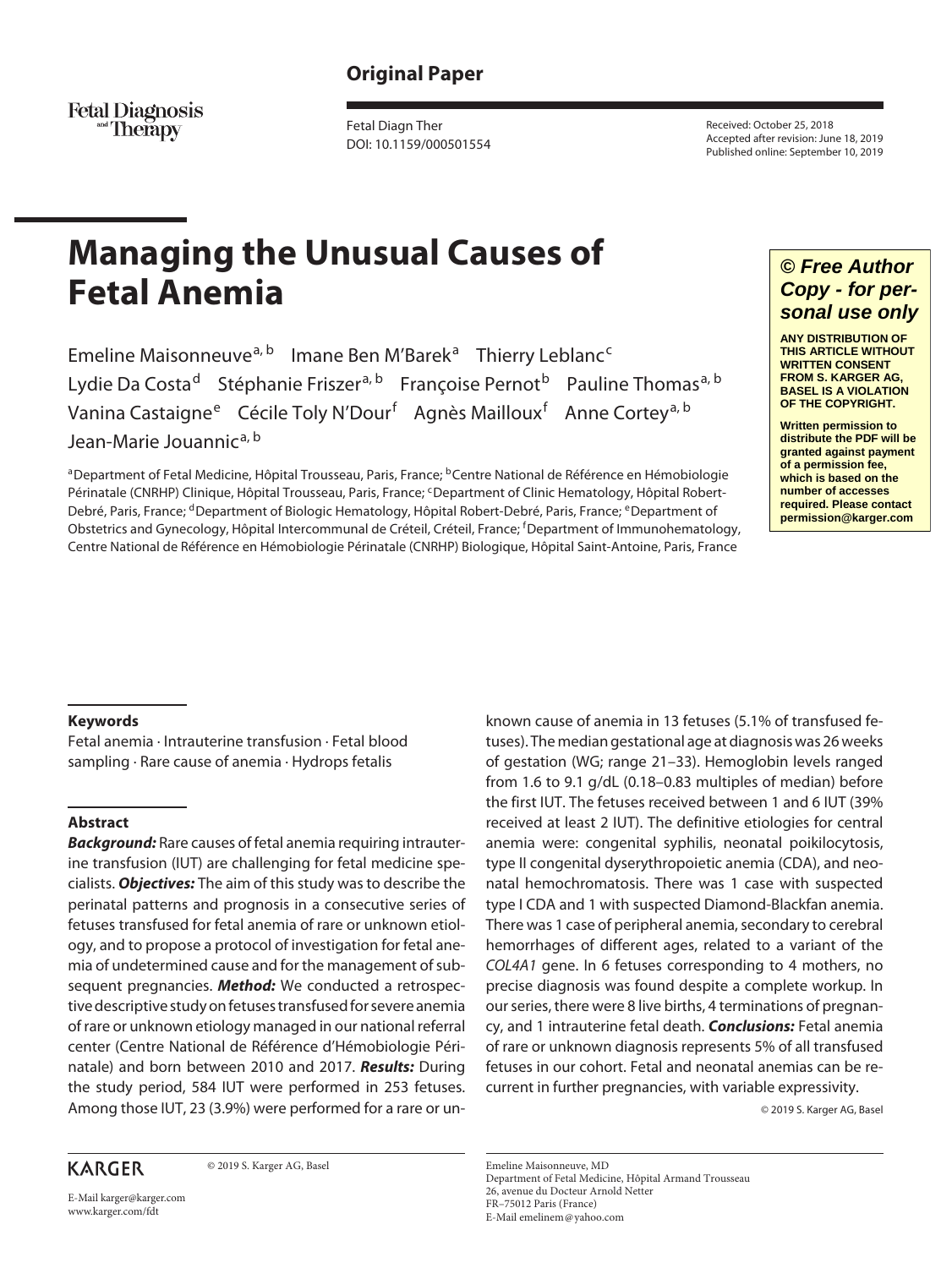# **Original Paper**

Fetal Diagnosis<br>Therapy

Fetal Diagn Ther DOI: 10.1159/000501554 Received: October 25, 2018 Accepted after revision: June 18, 2019 Published online: September 10, 2019

# **Managing the Unusual Causes of Fetal Anemia**

Emeline Maisonneuve<sup>a, b</sup> Imane Ben M'Barek<sup>a</sup> Thierry Leblanc<sup>c</sup> Lydie Da Costa<sup>d</sup> Stéphanie Friszer<sup>a, b</sup> Françoise Pernot<sup>b</sup> Pauline Thomas<sup>a, b</sup> Vanina Castaigne<sup>e</sup> Cécile Toly N'Dour<sup>f</sup> Agnès Mailloux<sup>f</sup> Anne Cortey<sup>a, b</sup> Jean-Marie Jouannic<sup>a, b</sup>

<sup>a</sup>Department of Fetal Medicine, Hôpital Trousseau, Paris, France; <sup>b</sup>Centre National de Référence en Hémobiologie Périnatale (CNRHP) Clinique, Hôpital Trousseau, Paris, France; <sup>c</sup>Department of Clinic Hematology, Hôpital Robert-Debré, Paris, France; <sup>d</sup>Department of Biologic Hematology, Hôpital Robert-Debré, Paris, France; <sup>e</sup>Department of Obstetrics and Gynecology, Hôpital Intercommunal de Créteil, Créteil, France; <sup>f</sup>Department of Immunohematology, Centre National de Référence en Hémobiologie Périnatale (CNRHP) Biologique, Hôpital Saint-Antoine, Paris, France

## *© Free Author Copy - for personal use only*

**ANY DISTRIBUTION OF THIS ARTICLE WITHOUT WRITTEN CONSENT FROM S. KARGER AG, BASEL IS A VIOLATION OF THE COPYRIGHT.**

**Written permission to distribute the PDF will be granted against payment of a permission fee, which is based on the number of accesses required. Please contact permission@karger.com**

## **Keywords**

Fetal anemia · Intrauterine transfusion · Fetal blood sampling · Rare cause of anemia · Hydrops fetalis

## **Abstract**

*Background:* Rare causes of fetal anemia requiring intrauterine transfusion (IUT) are challenging for fetal medicine specialists. *Objectives:* The aim of this study was to describe the perinatal patterns and prognosis in a consecutive series of fetuses transfused for fetal anemia of rare or unknown etiology, and to propose a protocol of investigation for fetal anemia of undetermined cause and for the management of subsequent pregnancies. *Method:* We conducted a retrospective descriptive study on fetuses transfused for severe anemia of rare or unknown etiology managed in our national referral center (Centre National de Référence d'Hémobiologie Périnatale) and born between 2010 and 2017. *Results:* During the study period, 584 IUT were performed in 253 fetuses. Among those IUT, 23 (3.9%) were performed for a rare or un-

## **KARGER**

© 2019 S. Karger AG, Basel

from 1.6 to 9.1 g/dL (0.18–0.83 multiples of median) before the first IUT. The fetuses received between 1 and 6 IUT (39% received at least 2 IUT). The definitive etiologies for central anemia were: congenital syphilis, neonatal poikilocytosis, type II congenital dyserythropoietic anemia (CDA), and neonatal hemochromatosis. There was 1 case with suspected type I CDA and 1 with suspected Diamond-Blackfan anemia. There was 1 case of peripheral anemia, secondary to cerebral hemorrhages of different ages, related to a variant of the *COL4A1* gene. In 6 fetuses corresponding to 4 mothers, no precise diagnosis was found despite a complete workup. In our series, there were 8 live births, 4 terminations of pregnancy, and 1 intrauterine fetal death. *Conclusions:* Fetal anemia of rare or unknown diagnosis represents 5% of all transfused fetuses in our cohort. Fetal and neonatal anemias can be recurrent in further pregnancies, with variable expressivity.

known cause of anemia in 13 fetuses (5.1% of transfused fetuses). The median gestational age at diagnosis was 26 weeks of gestation (WG; range 21–33). Hemoglobin levels ranged

© 2019 S. Karger AG, Basel

Emeline Maisonneuve, MD Department of Fetal Medicine, Hôpital Armand Trousseau 26, avenue du Docteur Arnold Netter FR–75012 Paris (France) E-Mail emelinem@yahoo.com

E-Mail karger@karger.com www.karger.com/fdt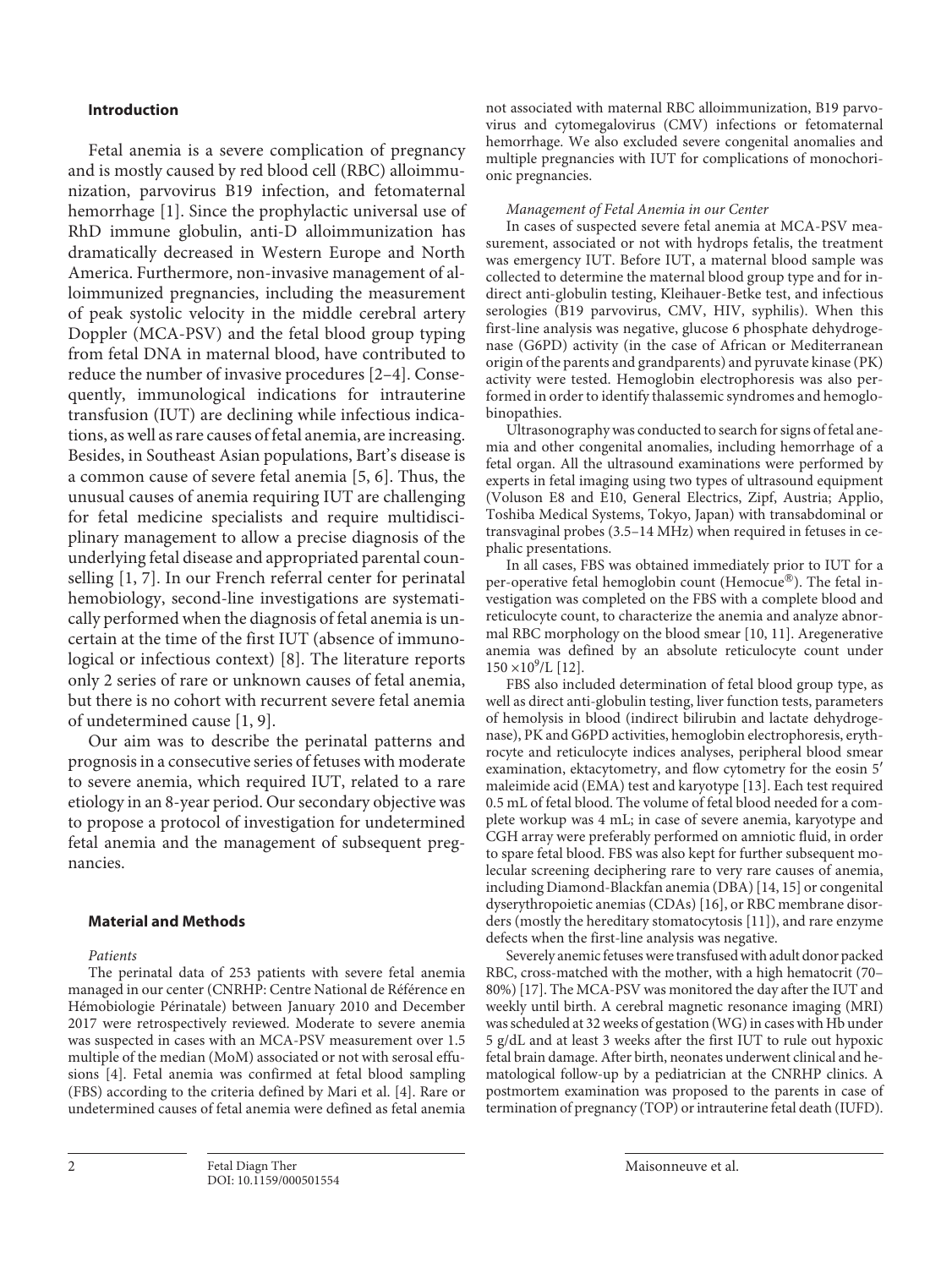## **Introduction**

Fetal anemia is a severe complication of pregnancy and is mostly caused by red blood cell (RBC) alloimmunization, parvovirus B19 infection, and fetomaternal hemorrhage [1]. Since the prophylactic universal use of RhD immune globulin, anti-D alloimmunization has dramatically decreased in Western Europe and North America. Furthermore, non-invasive management of alloimmunized pregnancies, including the measurement of peak systolic velocity in the middle cerebral artery Doppler (MCA-PSV) and the fetal blood group typing from fetal DNA in maternal blood, have contributed to reduce the number of invasive procedures [2–4]. Consequently, immunological indications for intrauterine transfusion (IUT) are declining while infectious indications, as well as rare causes of fetal anemia, are increasing. Besides, in Southeast Asian populations, Bart's disease is a common cause of severe fetal anemia [5, 6]. Thus, the unusual causes of anemia requiring IUT are challenging for fetal medicine specialists and require multidisciplinary management to allow a precise diagnosis of the underlying fetal disease and appropriated parental counselling [1, 7]. In our French referral center for perinatal hemobiology, second-line investigations are systematically performed when the diagnosis of fetal anemia is uncertain at the time of the first IUT (absence of immunological or infectious context) [8]. The literature reports only 2 series of rare or unknown causes of fetal anemia, but there is no cohort with recurrent severe fetal anemia of undetermined cause [1, 9].

Our aim was to describe the perinatal patterns and prognosis in a consecutive series of fetuses with moderate to severe anemia, which required IUT, related to a rare etiology in an 8-year period. Our secondary objective was to propose a protocol of investigation for undetermined fetal anemia and the management of subsequent pregnancies.

#### **Material and Methods**

*Patients*

The perinatal data of 253 patients with severe fetal anemia managed in our center (CNRHP: Centre National de Référence en Hémobiologie Périnatale) between January 2010 and December 2017 were retrospectively reviewed. Moderate to severe anemia was suspected in cases with an MCA-PSV measurement over 1.5 multiple of the median (MoM) associated or not with serosal effusions [4]. Fetal anemia was confirmed at fetal blood sampling (FBS) according to the criteria defined by Mari et al. [4]. Rare or undetermined causes of fetal anemia were defined as fetal anemia

not associated with maternal RBC alloimmunization, B19 parvovirus and cytomegalovirus (CMV) infections or fetomaternal hemorrhage. We also excluded severe congenital anomalies and multiple pregnancies with IUT for complications of monochorionic pregnancies.

#### *Management of Fetal Anemia in our Center*

In cases of suspected severe fetal anemia at MCA-PSV measurement, associated or not with hydrops fetalis, the treatment was emergency IUT. Before IUT, a maternal blood sample was collected to determine the maternal blood group type and for indirect anti-globulin testing, Kleihauer-Betke test, and infectious serologies (B19 parvovirus, CMV, HIV, syphilis). When this first-line analysis was negative, glucose 6 phosphate dehydrogenase (G6PD) activity (in the case of African or Mediterranean origin of the parents and grandparents) and pyruvate kinase (PK) activity were tested. Hemoglobin electrophoresis was also performed in order to identify thalassemic syndromes and hemoglobinopathies.

Ultrasonography was conducted to search for signs of fetal anemia and other congenital anomalies, including hemorrhage of a fetal organ. All the ultrasound examinations were performed by experts in fetal imaging using two types of ultrasound equipment (Voluson E8 and E10, General Electrics, Zipf, Austria; Applio, Toshiba Medical Systems, Tokyo, Japan) with transabdominal or transvaginal probes (3.5–14 MHz) when required in fetuses in cephalic presentations.

In all cases, FBS was obtained immediately prior to IUT for a per-operative fetal hemoglobin count (Hemocue®). The fetal investigation was completed on the FBS with a complete blood and reticulocyte count, to characterize the anemia and analyze abnormal RBC morphology on the blood smear [10, 11]. Aregenerative anemia was defined by an absolute reticulocyte count under  $150 \times 10^9$ /L [12].

FBS also included determination of fetal blood group type, as well as direct anti-globulin testing, liver function tests, parameters of hemolysis in blood (indirect bilirubin and lactate dehydrogenase), PK and G6PD activities, hemoglobin electrophoresis, erythrocyte and reticulocyte indices analyses, peripheral blood smear examination, ektacytometry, and flow cytometry for the eosin 5′ maleimide acid (EMA) test and karyotype [13]. Each test required 0.5 mL of fetal blood. The volume of fetal blood needed for a complete workup was 4 mL; in case of severe anemia, karyotype and CGH array were preferably performed on amniotic fluid, in order to spare fetal blood. FBS was also kept for further subsequent molecular screening deciphering rare to very rare causes of anemia, including Diamond-Blackfan anemia (DBA) [14, 15] or congenital dyserythropoietic anemias (CDAs) [16], or RBC membrane disorders (mostly the hereditary stomatocytosis [11]), and rare enzyme defects when the first-line analysis was negative.

Severely anemic fetuses were transfused with adult donor packed RBC, cross-matched with the mother, with a high hematocrit (70– 80%) [17]. The MCA-PSV was monitored the day after the IUT and weekly until birth. A cerebral magnetic resonance imaging (MRI) was scheduled at 32 weeks of gestation (WG) in cases with Hb under 5 g/dL and at least 3 weeks after the first IUT to rule out hypoxic fetal brain damage. After birth, neonates underwent clinical and hematological follow-up by a pediatrician at the CNRHP clinics. A postmortem examination was proposed to the parents in case of termination of pregnancy (TOP) or intrauterine fetal death (IUFD).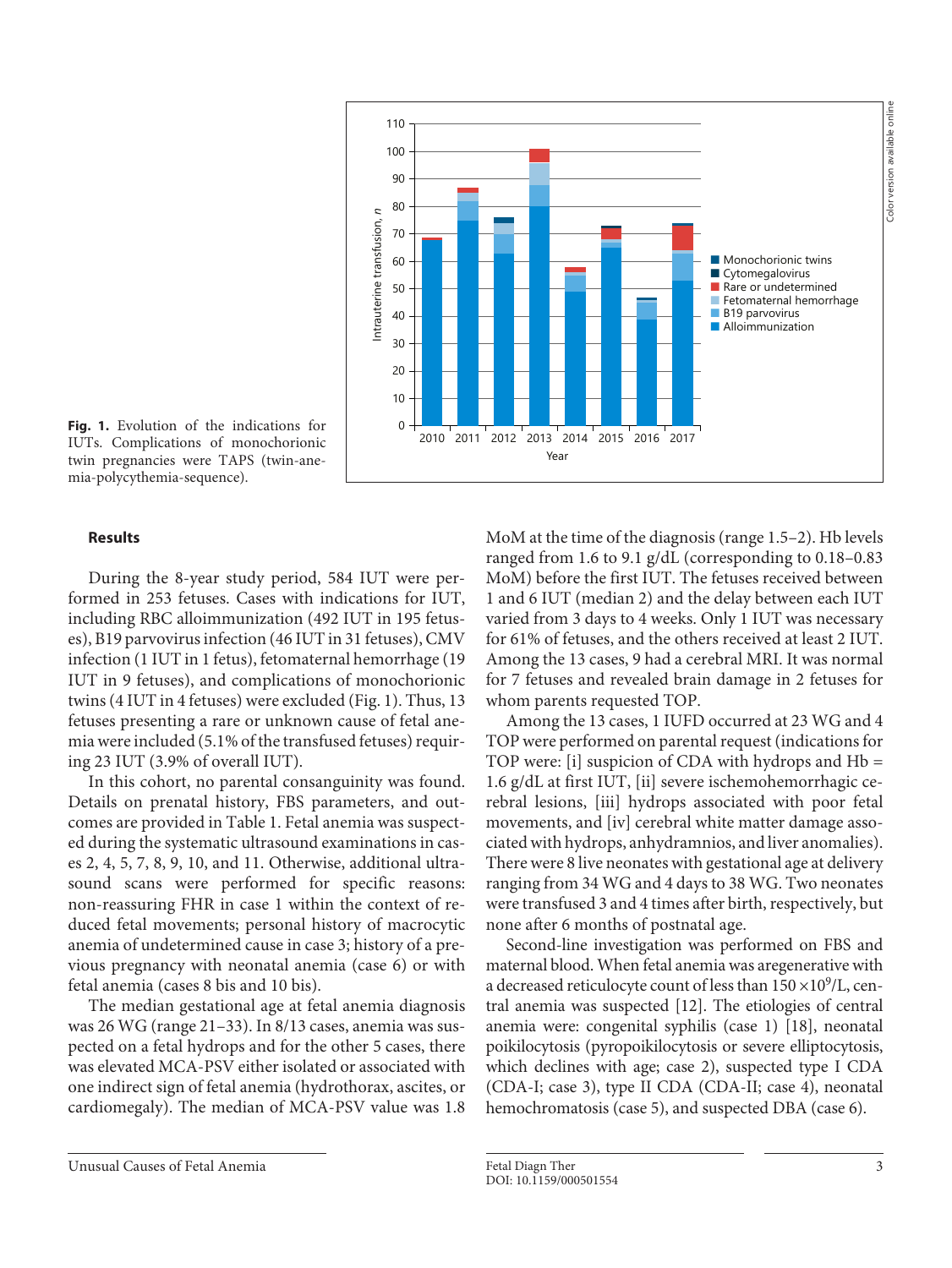

IUTs. Complications of monochorionic twin pregnancies were TAPS (twin-anemia-polycythemia-sequence).

## **Results**

During the 8-year study period, 584 IUT were performed in 253 fetuses. Cases with indications for IUT, including RBC alloimmunization (492 IUT in 195 fetuses), B19 parvovirus infection (46 IUT in 31 fetuses), CMV infection (1 IUT in 1 fetus), fetomaternal hemorrhage (19 IUT in 9 fetuses), and complications of monochorionic twins (4 IUT in 4 fetuses) were excluded (Fig. 1). Thus, 13 fetuses presenting a rare or unknown cause of fetal anemia were included (5.1% of the transfused fetuses) requiring 23 IUT (3.9% of overall IUT).

In this cohort, no parental consanguinity was found. Details on prenatal history, FBS parameters, and outcomes are provided in Table 1. Fetal anemia was suspected during the systematic ultrasound examinations in cases 2, 4, 5, 7, 8, 9, 10, and 11. Otherwise, additional ultrasound scans were performed for specific reasons: non-reassuring FHR in case 1 within the context of reduced fetal movements; personal history of macrocytic anemia of undetermined cause in case 3; history of a previous pregnancy with neonatal anemia (case 6) or with fetal anemia (cases 8 bis and 10 bis).

The median gestational age at fetal anemia diagnosis was 26 WG (range 21–33). In 8/13 cases, anemia was suspected on a fetal hydrops and for the other 5 cases, there was elevated MCA-PSV either isolated or associated with one indirect sign of fetal anemia (hydrothorax, ascites, or cardiomegaly). The median of MCA-PSV value was 1.8 MoM at the time of the diagnosis (range 1.5–2). Hb levels ranged from 1.6 to 9.1 g/dL (corresponding to 0.18–0.83 MoM) before the first IUT. The fetuses received between 1 and 6 IUT (median 2) and the delay between each IUT varied from 3 days to 4 weeks. Only 1 IUT was necessary for 61% of fetuses, and the others received at least 2 IUT. Among the 13 cases, 9 had a cerebral MRI. It was normal for 7 fetuses and revealed brain damage in 2 fetuses for whom parents requested TOP.

Among the 13 cases, 1 IUFD occurred at 23 WG and 4 TOP were performed on parental request (indications for TOP were: [i] suspicion of CDA with hydrops and Hb = 1.6 g/dL at first IUT, [ii] severe ischemohemorrhagic cerebral lesions, [iii] hydrops associated with poor fetal movements, and [iv] cerebral white matter damage associated with hydrops, anhydramnios, and liver anomalies). There were 8 live neonates with gestational age at delivery ranging from 34 WG and 4 days to 38 WG. Two neonates were transfused 3 and 4 times after birth, respectively, but none after 6 months of postnatal age.

Second-line investigation was performed on FBS and maternal blood. When fetal anemia was aregenerative with a decreased reticulocyte count of less than  $150 \times 10^9$ /L, central anemia was suspected [12]. The etiologies of central anemia were: congenital syphilis (case 1) [18], neonatal poikilocytosis (pyropoikilocytosis or severe elliptocytosis, which declines with age; case 2), suspected type I CDA (CDA-I; case 3), type II CDA (CDA-II; case 4), neonatal hemochromatosis (case 5), and suspected DBA (case 6).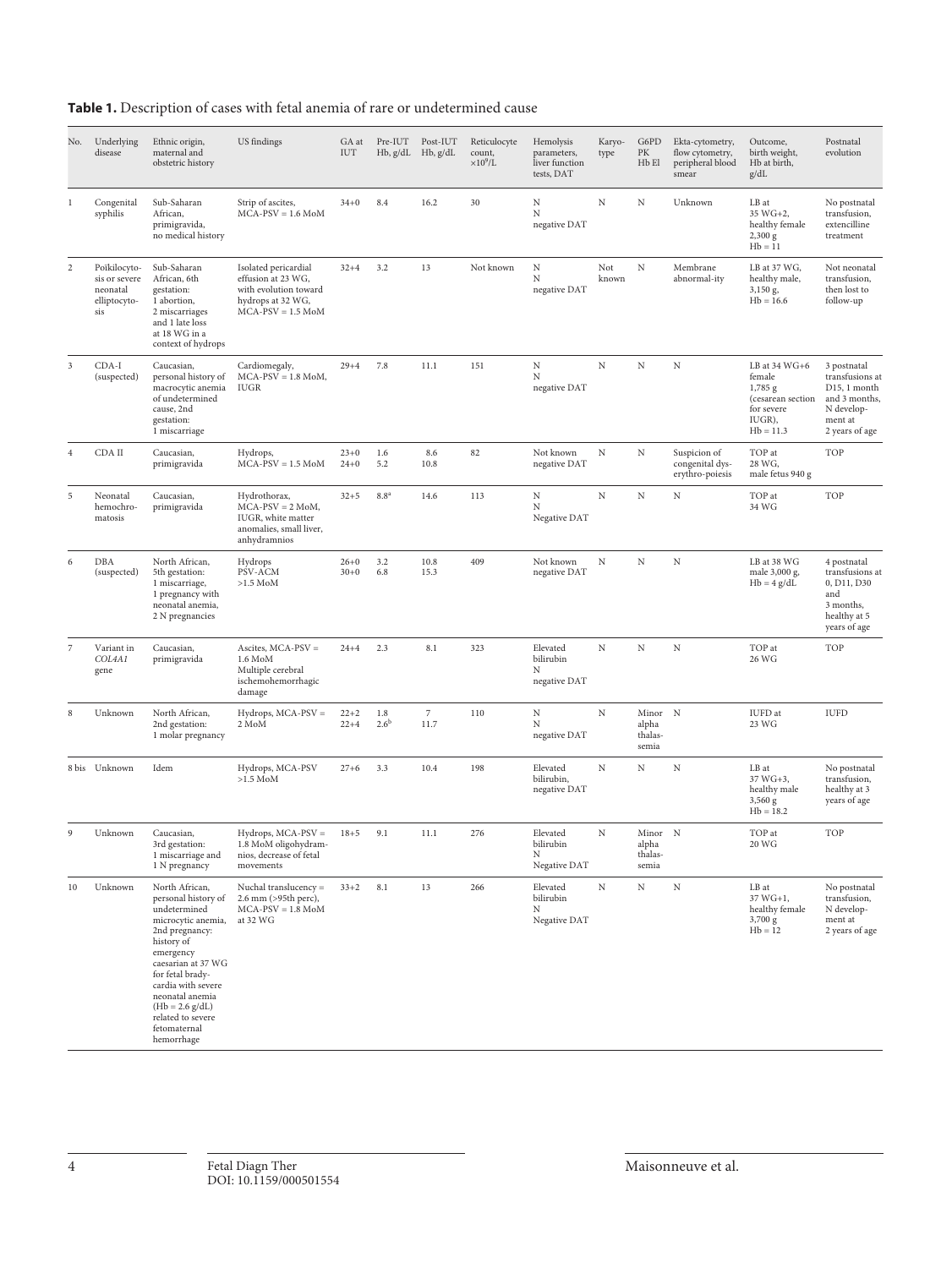| <b>Table 1.</b> Description of cases with fetal anemia of rare or undetermined cause |  |
|--------------------------------------------------------------------------------------|--|
|--------------------------------------------------------------------------------------|--|

| No.            | Underlying<br>disease                                            | Ethnic origin,<br>maternal and<br>obstetric history                                                                                                                                                                                                                                 | US findings                                                                                                      | GA at<br>IUT         | Pre-IUT                     | Post-IUT<br>Hb, g/dL Hb, g/dL | Reticulocyte<br>count,<br>$\times10^9$ /L | Hemolysis<br>parameters,<br>liver function<br>tests, DAT | Karyo-<br>type | G6PD<br>PK<br>H <sub>b</sub> El      | Ekta-cytometry,<br>flow cytometry,<br>peripheral blood<br>smear | Outcome,<br>birth weight,<br>Hb at birth,<br>g/dL                                              | Postnatal<br>evolution                                                                                     |
|----------------|------------------------------------------------------------------|-------------------------------------------------------------------------------------------------------------------------------------------------------------------------------------------------------------------------------------------------------------------------------------|------------------------------------------------------------------------------------------------------------------|----------------------|-----------------------------|-------------------------------|-------------------------------------------|----------------------------------------------------------|----------------|--------------------------------------|-----------------------------------------------------------------|------------------------------------------------------------------------------------------------|------------------------------------------------------------------------------------------------------------|
| 1              | Congenital<br>syphilis                                           | Sub-Saharan<br>African,<br>primigravida,<br>no medical history                                                                                                                                                                                                                      | Strip of ascites,<br>$MCA-PSV = 1.6 M oM$                                                                        | $34 + 0$             | 8.4                         | 16.2                          | 30                                        | N<br>N<br>negative DAT                                   | N              | N                                    | Unknown                                                         | LB at<br>35 WG+2,<br>healthy female<br>2,300 g<br>$Hb = 11$                                    | No postnatal<br>transfusion,<br>extencilline<br>treatment                                                  |
| 2              | Poïkilocyto-<br>sis or severe<br>neonatal<br>elliptocyto-<br>sis | Sub-Saharan<br>African, 6th<br>gestation:<br>1 abortion,<br>2 miscarriages<br>and 1 late loss<br>at 18 WG in a<br>context of hydrops                                                                                                                                                | Isolated pericardial<br>effusion at 23 WG,<br>with evolution toward<br>hydrops at 32 WG,<br>$MCA-PSV = 1.5 M oM$ | $32 + 4$             | 3.2                         | 13                            | Not known                                 | N<br>N<br>negative DAT                                   | Not<br>known   | $\mathbf N$                          | Membrane<br>abnormal-ity                                        | LB at 37 WG,<br>healthy male,<br>3,150 g,<br>$Hb = 16.6$                                       | Not neonatal<br>transfusion,<br>then lost to<br>follow-up                                                  |
| 3              | CDA-I<br>(suspected)                                             | Caucasian,<br>personal history of<br>macrocytic anemia<br>of undetermined<br>cause, 2nd<br>gestation:<br>1 miscarriage                                                                                                                                                              | Cardiomegaly,<br>$MCA-PSV = 1.8$ MoM,<br><b>IUGR</b>                                                             | $29 + 4$             | 7.8                         | 11.1                          | 151                                       | $_{\rm N}$<br>N<br>negative DAT                          | $_{\rm N}$     | N                                    | N                                                               | LB at 34 WG+6<br>female<br>1,785 g<br>(cesarean section<br>for severe<br>IUGR),<br>$Hb = 11.3$ | 3 postnatal<br>transfusions at<br>D15, 1 month<br>and 3 months,<br>N develop-<br>ment at<br>2 years of age |
| $\overline{4}$ | CDA II                                                           | Caucasian,<br>primigravida                                                                                                                                                                                                                                                          | Hydrops,<br>$MCA-PSV = 1.5 M oM$                                                                                 | $23+0$<br>$24 + 0$   | 1.6<br>5.2                  | 8.6<br>10.8                   | 82                                        | Not known<br>negative DAT                                | N              | N                                    | Suspicion of<br>congenital dys-<br>erythro-poiesis              | TOP at<br>28 WG,<br>male fetus 940 g                                                           | TOP                                                                                                        |
| 5              | Neonatal<br>hemochro-<br>matosis                                 | Caucasian,<br>primigravida                                                                                                                                                                                                                                                          | Hydrothorax,<br>$MCA-PSV = 2$ MoM,<br>IUGR, white matter<br>anomalies, small liver,<br>anhydramnios              | $32 + 5$             | 8.8 <sup>a</sup>            | 14.6                          | 113                                       | $_{\rm N}$<br>N<br>Negative DAT                          | $_{\rm N}$     | $_{\rm N}$                           | Ν                                                               | TOP at<br>34 WG                                                                                | <b>TOP</b>                                                                                                 |
| 6              | DBA<br>(suspected)                                               | North African,<br>5th gestation:<br>1 miscarriage,<br>1 pregnancy with<br>neonatal anemia,<br>2 N pregnancies                                                                                                                                                                       | Hydrops<br>PSV-ACM<br>$>1.5$ MoM                                                                                 | $26 + 0$<br>$30 + 0$ | 3.2<br>6.8                  | 10.8<br>15.3                  | 409                                       | Not known<br>negative DAT                                | N              | $\mathbf N$                          | N                                                               | LB at 38 WG<br>male 3,000 g,<br>$Hb = 4 g/dL$                                                  | 4 postnatal<br>transfusions at<br>0, D11, D30<br>and<br>3 months,<br>healthy at 5<br>years of age          |
| 7              | Variant in<br>COL4A1<br>gene                                     | Caucasian,<br>primigravida                                                                                                                                                                                                                                                          | Ascites, $MCA-PSV =$<br>$1.6\text{ MoM}$<br>Multiple cerebral<br>ischemohemorrhagic<br>damage                    | $24 + 4$             | 2.3                         | 8.1                           | 323                                       | Elevated<br>bilirubin<br>Ν<br>negative DAT               | $_{\rm N}$     | $\mathbf N$                          | N                                                               | TOP at<br>26 WG                                                                                | TOP                                                                                                        |
| 8              | Unknown                                                          | North African,<br>2nd gestation:<br>1 molar pregnancy                                                                                                                                                                                                                               | $Hydrops$ , MCA-PSV =<br>2 MoM                                                                                   | $22+2$<br>$22 + 4$   | $1.8\,$<br>2.6 <sup>b</sup> | $\overline{7}$<br>11.7        | 110                                       | N<br>N<br>negative DAT                                   | N              | Minor N<br>alpha<br>thalas-<br>semia |                                                                 | IUFD at<br>23 WG                                                                               | <b>IUFD</b>                                                                                                |
|                | 8 bis Unknown                                                    | Idem                                                                                                                                                                                                                                                                                | Hydrops, MCA-PSV<br>$>1.5$ MoM                                                                                   | $27 + 6$             | 3.3                         | 10.4                          | 198                                       | Elevated<br>bilirubin,<br>negative DAT                   | $_{\rm N}$     | N                                    | $_{\rm N}$                                                      | LB at<br>37 WG+3,<br>healthy male<br>3,560 g<br>$Hb = 18.2$                                    | No postnatal<br>transfusion,<br>healthy at 3<br>years of age                                               |
| 9              | Unknown                                                          | Caucasian,<br>3rd gestation:<br>1 miscarriage and<br>1 N pregnancy                                                                                                                                                                                                                  | $Hydrops$ , MCA-PSV =<br>1.8 MoM oligohydram-<br>nios, decrease of fetal<br>movements                            | $18 + 5$             | 9.1                         | 11.1                          | 276                                       | Elevated<br>bilirubin<br>Ν<br>Negative DAT               | N              | Minor N<br>alpha<br>thalas-<br>semia |                                                                 | TOP at<br>20 WG                                                                                | TOP                                                                                                        |
| 10             | Unknown                                                          | North African,<br>personal history of<br>undetermined<br>microcytic anemia,<br>2nd pregnancy:<br>history of<br>emergency<br>caesarian at 37 WG<br>for fetal brady-<br>cardia with severe<br>neonatal anemia<br>$(Hb = 2.6 g/dL)$<br>related to severe<br>fetomaternal<br>hemorrhage | Nuchal translucency =<br>2.6 mm (>95th perc),<br>$MCA-PSV = 1.8$ MoM<br>at 32 WG                                 | $33 + 2$             | 8.1                         | 13                            | 266                                       | Elevated<br>bilirubin<br>Ν<br>Negative DAT               | $_{\rm N}$     | N                                    | $_{\rm N}$                                                      | LB at<br>37 WG+1,<br>healthy female<br>3,700 g<br>$Hb = 12$                                    | No postnatal<br>transfusion,<br>N develop-<br>ment at<br>2 years of age                                    |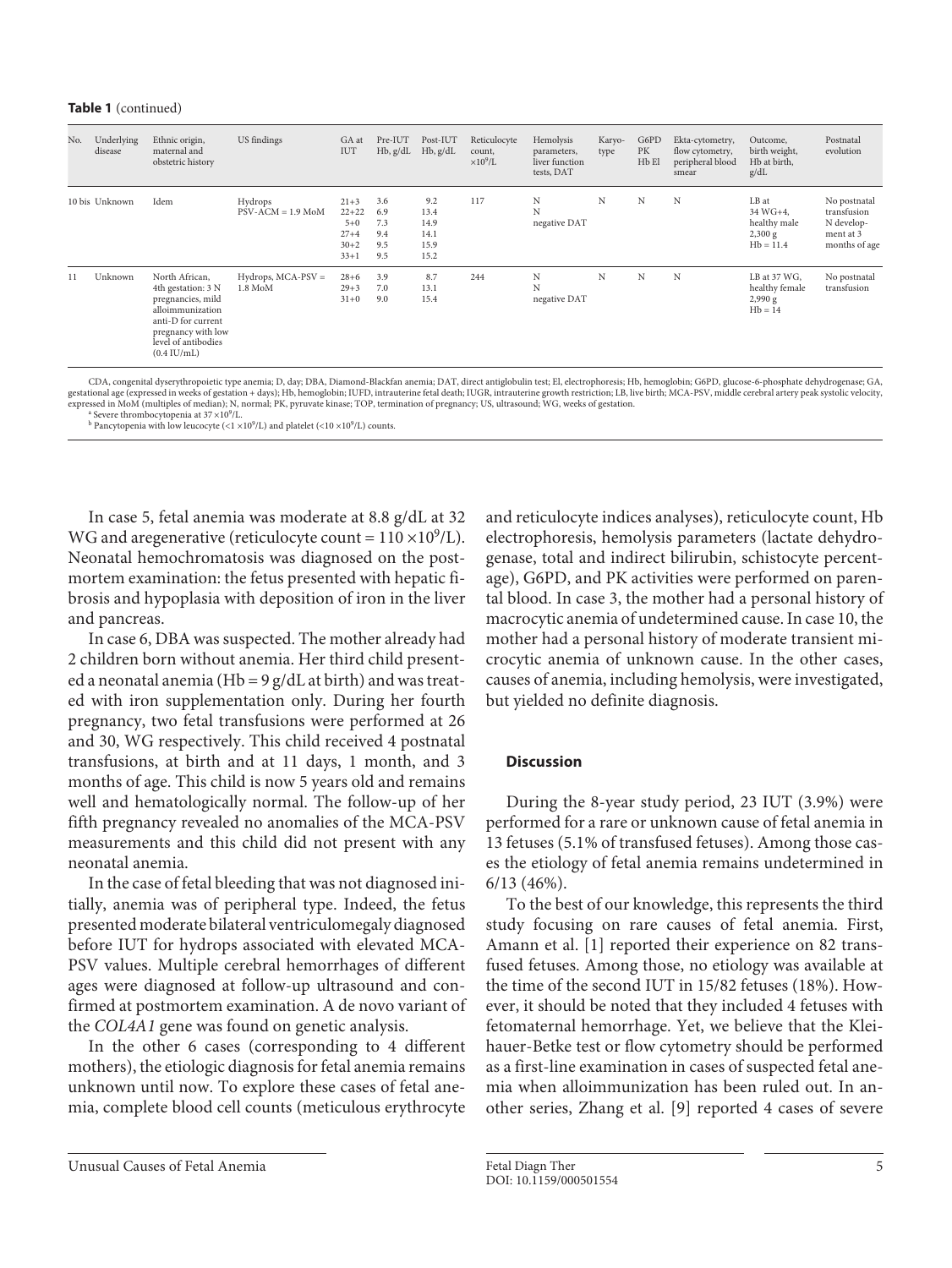#### **Table 1** (continued)

| No. | Underlying<br>disease | Ethnic origin,<br>maternal and<br>obstetric history                                                                                                                       | US findings                        | GA at<br>IUT                                                     | Pre-IUT<br>$Hb$ , $g/dL$               | Post-IUT<br>Hb, g/dL                        | Reticulocyte<br>count,<br>$\times10^9$ /L | Hemolysis<br>parameters,<br>liver function<br>tests, DAT | Karyo-<br>type | G6PD<br>PK<br>Hb El | Ekta-cytometry,<br>flow cytometry,<br>peripheral blood<br>smear | Outcome,<br>birth weight,<br>Hb at birth,<br>g/dL           | Postnatal<br>evolution                                                  |
|-----|-----------------------|---------------------------------------------------------------------------------------------------------------------------------------------------------------------------|------------------------------------|------------------------------------------------------------------|----------------------------------------|---------------------------------------------|-------------------------------------------|----------------------------------------------------------|----------------|---------------------|-----------------------------------------------------------------|-------------------------------------------------------------|-------------------------------------------------------------------------|
|     | 10 bis Unknown        | Idem                                                                                                                                                                      | Hydrops<br>$PSV-ACM = 1.9$ MoM     | $21 + 3$<br>$22+22$<br>$5 + 0$<br>$27 + 4$<br>$30 + 2$<br>$33+1$ | 3.6<br>6.9<br>7.3<br>9.4<br>9.5<br>9.5 | 9.2<br>13.4<br>14.9<br>14.1<br>15.9<br>15.2 | 117                                       | N<br>N<br>negative DAT                                   | N              | N                   | N                                                               | LB at<br>34 WG+4.<br>healthy male<br>2,300 g<br>$Hb = 11.4$ | No postnatal<br>transfusion<br>N develop-<br>ment at 3<br>months of age |
| 11  | Unknown               | North African,<br>4th gestation: 3 N<br>pregnancies, mild<br>alloimmunization<br>anti-D for current<br>pregnancy with low<br>level of antibodies<br>$(0.4 \text{ IU/mL})$ | $Hydrops$ , MCA-PSV $=$<br>1.8 MoM | $28 + 6$<br>$29 + 3$<br>$31 + 0$                                 | 3.9<br>7.0<br>9.0                      | 8.7<br>13.1<br>15.4                         | 244                                       | N<br>N<br>negative DAT                                   | N              | N                   | N                                                               | LB at 37 WG,<br>healthy female<br>2,990 g<br>$Hb = 14$      | No postnatal<br>transfusion                                             |

,CDA, congenital dyserythropoietic type anemia; D, day; DBA, Diamond-Blackfan anemia; DAT, direct antiglobulin test; El, electrophoresis; Hb, hemoglobin; G6PD, glucose-6-phosphate dehydrogenase; GA, وgestational age (expre expressed in MoM (multiples of median); N, normal; PK, pyruvate kinase; TOP, termination of pregnancy; US, ultrasound; WG, weeks of gestation. a Severe thrombocytopenia at  $37 \times 10^9$ /L.

<sup>a</sup> Severe thrombocytopenia at 37 ×10<sup>9</sup>/L.<br><sup>b</sup> Pancytopenia with low leucocyte (<1 ×10<sup>9</sup>/L) and platelet (<10 ×10<sup>9</sup>/L) counts.

In case 5, fetal anemia was moderate at 8.8 g/dL at 32 WG and aregenerative (reticulocyte count =  $110 \times 10^9$ /L). Neonatal hemochromatosis was diagnosed on the postmortem examination: the fetus presented with hepatic fibrosis and hypoplasia with deposition of iron in the liver and pancreas.

In case 6, DBA was suspected. The mother already had 2 children born without anemia. Her third child presented a neonatal anemia (Hb =  $9$  g/dL at birth) and was treated with iron supplementation only. During her fourth pregnancy, two fetal transfusions were performed at 26 and 30, WG respectively. This child received 4 postnatal transfusions, at birth and at 11 days, 1 month, and 3 months of age. This child is now 5 years old and remains well and hematologically normal. The follow-up of her fifth pregnancy revealed no anomalies of the MCA-PSV measurements and this child did not present with any neonatal anemia.

In the case of fetal bleeding that was not diagnosed initially, anemia was of peripheral type. Indeed, the fetus presented moderate bilateral ventriculomegaly diagnosed before IUT for hydrops associated with elevated MCA-PSV values. Multiple cerebral hemorrhages of different ages were diagnosed at follow-up ultrasound and confirmed at postmortem examination. A de novo variant of the *COL4A1* gene was found on genetic analysis.

In the other 6 cases (corresponding to 4 different mothers), the etiologic diagnosis for fetal anemia remains unknown until now. To explore these cases of fetal anemia, complete blood cell counts (meticulous erythrocyte

and reticulocyte indices analyses), reticulocyte count, Hb electrophoresis, hemolysis parameters (lactate dehydrogenase, total and indirect bilirubin, schistocyte percentage), G6PD, and PK activities were performed on parental blood. In case 3, the mother had a personal history of macrocytic anemia of undetermined cause. In case 10, the mother had a personal history of moderate transient microcytic anemia of unknown cause. In the other cases, causes of anemia, including hemolysis, were investigated, but yielded no definite diagnosis.

## **Discussion**

During the 8-year study period, 23 IUT (3.9%) were performed for a rare or unknown cause of fetal anemia in 13 fetuses (5.1% of transfused fetuses). Among those cases the etiology of fetal anemia remains undetermined in 6/13 (46%).

To the best of our knowledge, this represents the third study focusing on rare causes of fetal anemia. First, Amann et al. [1] reported their experience on 82 transfused fetuses. Among those, no etiology was available at the time of the second IUT in 15/82 fetuses (18%). However, it should be noted that they included 4 fetuses with fetomaternal hemorrhage. Yet, we believe that the Kleihauer-Betke test or flow cytometry should be performed as a first-line examination in cases of suspected fetal anemia when alloimmunization has been ruled out. In another series, Zhang et al. [9] reported 4 cases of severe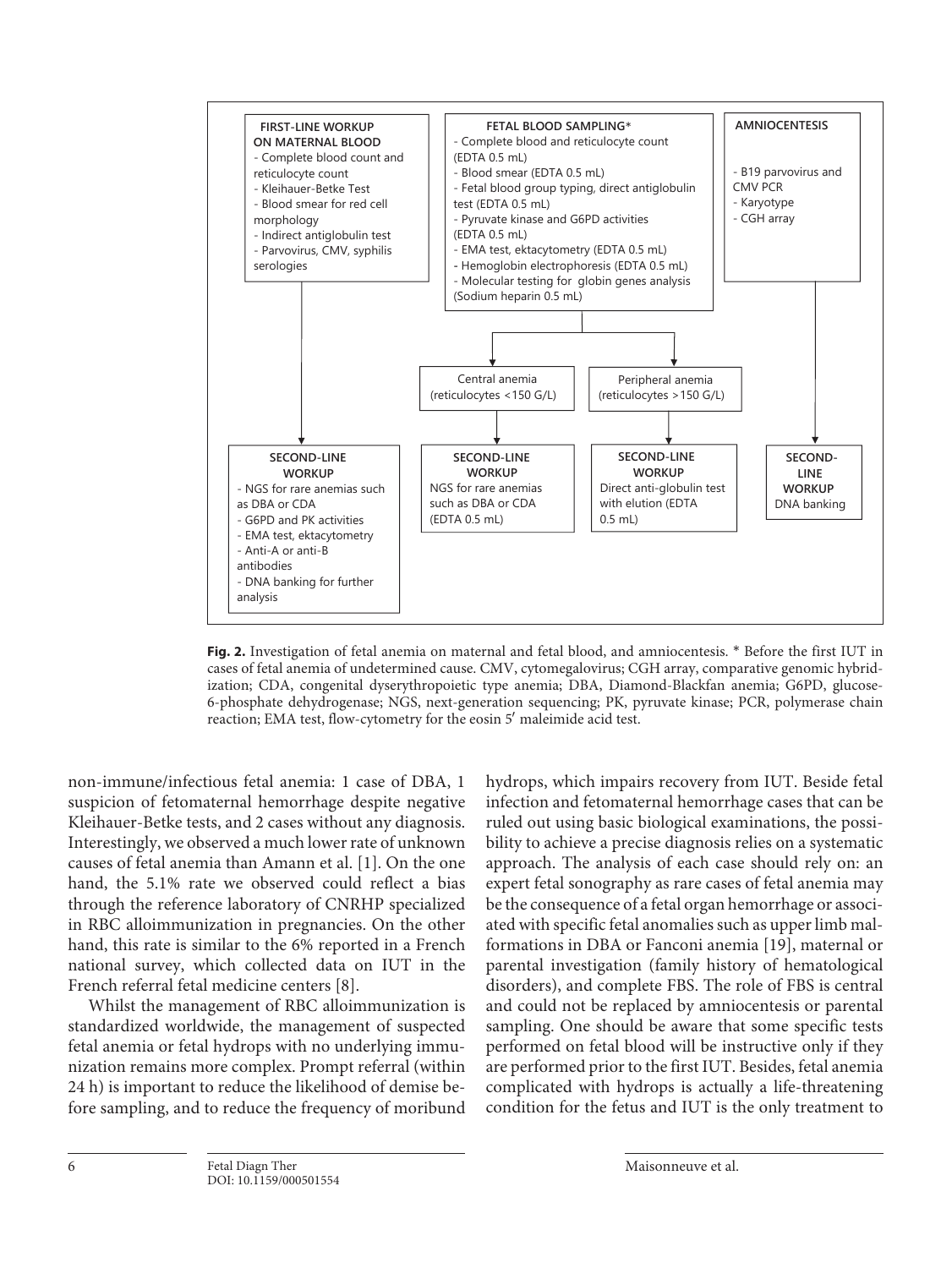

**Fig. 2.** Investigation of fetal anemia on maternal and fetal blood, and amniocentesis. \* Before the first IUT in cases of fetal anemia of undetermined cause. CMV, cytomegalovirus; CGH array, comparative genomic hybridization; CDA, congenital dyserythropoietic type anemia; DBA, Diamond-Blackfan anemia; G6PD, glucose-6-phosphate dehydrogenase; NGS, next-generation sequencing; PK, pyruvate kinase; PCR, polymerase chain reaction; EMA test, flow-cytometry for the eosin 5′ maleimide acid test.

non-immune/infectious fetal anemia: 1 case of DBA, 1 suspicion of fetomaternal hemorrhage despite negative Kleihauer-Betke tests, and 2 cases without any diagnosis. Interestingly, we observed a much lower rate of unknown causes of fetal anemia than Amann et al. [1]. On the one hand, the 5.1% rate we observed could reflect a bias through the reference laboratory of CNRHP specialized in RBC alloimmunization in pregnancies. On the other hand, this rate is similar to the 6% reported in a French national survey, which collected data on IUT in the French referral fetal medicine centers [8].

Whilst the management of RBC alloimmunization is standardized worldwide, the management of suspected fetal anemia or fetal hydrops with no underlying immunization remains more complex. Prompt referral (within 24 h) is important to reduce the likelihood of demise before sampling, and to reduce the frequency of moribund hydrops, which impairs recovery from IUT. Beside fetal infection and fetomaternal hemorrhage cases that can be ruled out using basic biological examinations, the possibility to achieve a precise diagnosis relies on a systematic approach. The analysis of each case should rely on: an expert fetal sonography as rare cases of fetal anemia may be the consequence of a fetal organ hemorrhage or associated with specific fetal anomalies such as upper limb malformations in DBA or Fanconi anemia [19], maternal or parental investigation (family history of hematological disorders), and complete FBS. The role of FBS is central and could not be replaced by amniocentesis or parental sampling. One should be aware that some specific tests performed on fetal blood will be instructive only if they are performed prior to the first IUT. Besides, fetal anemia complicated with hydrops is actually a life-threatening condition for the fetus and IUT is the only treatment to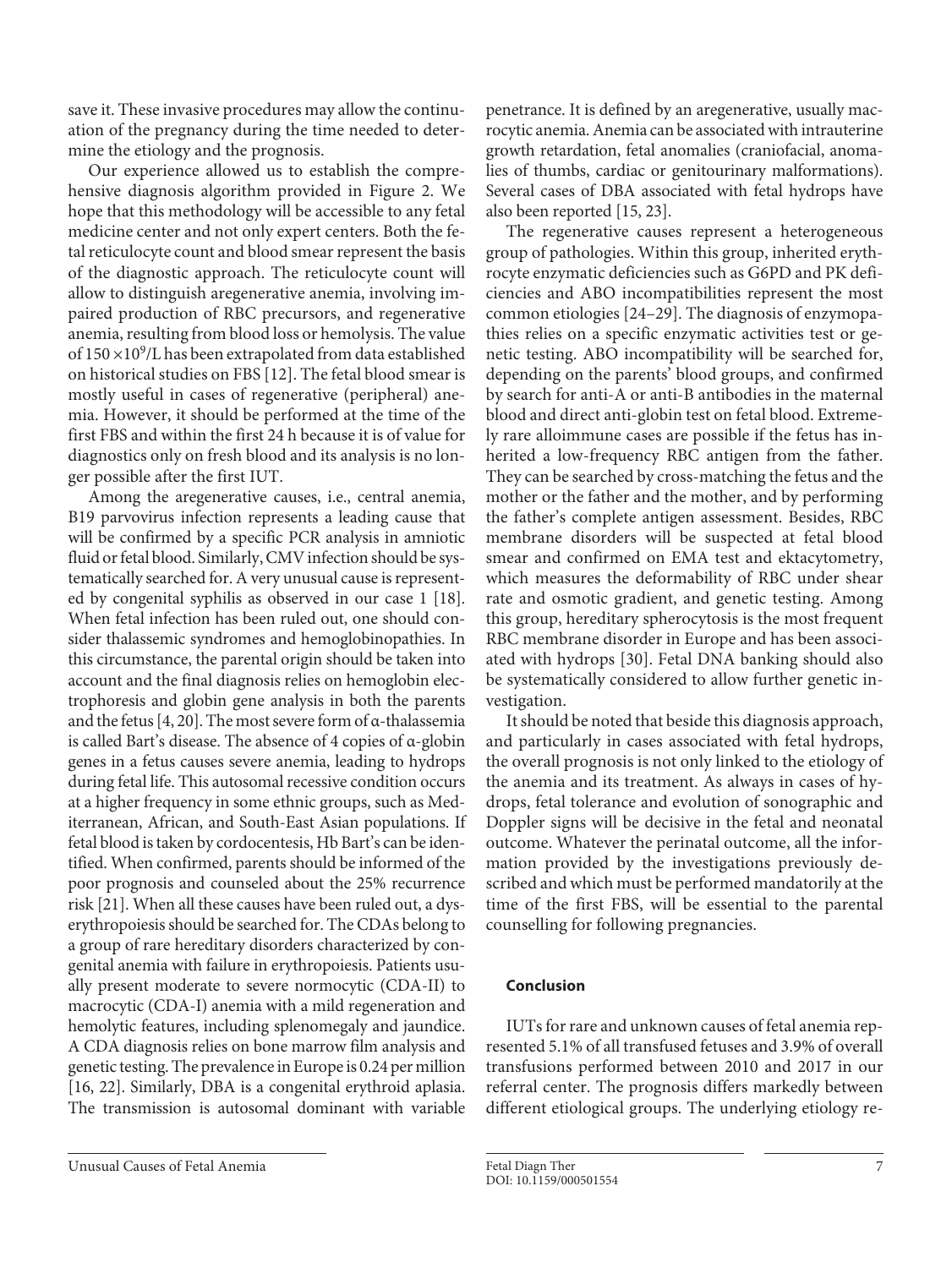save it. These invasive procedures may allow the continuation of the pregnancy during the time needed to determine the etiology and the prognosis.

Our experience allowed us to establish the comprehensive diagnosis algorithm provided in Figure 2. We hope that this methodology will be accessible to any fetal medicine center and not only expert centers. Both the fetal reticulocyte count and blood smear represent the basis of the diagnostic approach. The reticulocyte count will allow to distinguish aregenerative anemia, involving impaired production of RBC precursors, and regenerative anemia, resulting from blood loss or hemolysis. The value of  $150 \times 10^9$ /L has been extrapolated from data established on historical studies on FBS [12]. The fetal blood smear is mostly useful in cases of regenerative (peripheral) anemia. However, it should be performed at the time of the first FBS and within the first 24 h because it is of value for diagnostics only on fresh blood and its analysis is no longer possible after the first IUT.

Among the aregenerative causes, i.e., central anemia, B19 parvovirus infection represents a leading cause that will be confirmed by a specific PCR analysis in amniotic fluid or fetal blood. Similarly, CMV infection should be systematically searched for. A very unusual cause is represented by congenital syphilis as observed in our case 1 [18]. When fetal infection has been ruled out, one should consider thalassemic syndromes and hemoglobinopathies. In this circumstance, the parental origin should be taken into account and the final diagnosis relies on hemoglobin electrophoresis and globin gene analysis in both the parents and the fetus [4, 20]. The most severe form of α-thalassemia is called Bart's disease. The absence of 4 copies of α-globin genes in a fetus causes severe anemia, leading to hydrops during fetal life. This autosomal recessive condition occurs at a higher frequency in some ethnic groups, such as Mediterranean, African, and South-East Asian populations. If fetal blood is taken by cordocentesis, Hb Bart's can be identified. When confirmed, parents should be informed of the poor prognosis and counseled about the 25% recurrence risk [21]. When all these causes have been ruled out, a dyserythropoiesis should be searched for. The CDAs belong to a group of rare hereditary disorders characterized by congenital anemia with failure in erythropoiesis. Patients usually present moderate to severe normocytic (CDA-II) to macrocytic (CDA-I) anemia with a mild regeneration and hemolytic features, including splenomegaly and jaundice. A CDA diagnosis relies on bone marrow film analysis and genetic testing. The prevalence in Europe is 0.24 per million [16, 22]. Similarly, DBA is a congenital erythroid aplasia. The transmission is autosomal dominant with variable

Unusual Causes of Fetal Anemia **Fetal Anemia** Fetal Diagn Ther **Fetal Diagnet Constant Causes** of Fetal Anemia 7

penetrance. It is defined by an aregenerative, usually macrocytic anemia. Anemia can be associated with intrauterine growth retardation, fetal anomalies (craniofacial, anomalies of thumbs, cardiac or genitourinary malformations). Several cases of DBA associated with fetal hydrops have also been reported [15, 23].

The regenerative causes represent a heterogeneous group of pathologies. Within this group, inherited erythrocyte enzymatic deficiencies such as G6PD and PK deficiencies and ABO incompatibilities represent the most common etiologies [24–29]. The diagnosis of enzymopathies relies on a specific enzymatic activities test or genetic testing. ABO incompatibility will be searched for, depending on the parents' blood groups, and confirmed by search for anti-A or anti-B antibodies in the maternal blood and direct anti-globin test on fetal blood. Extremely rare alloimmune cases are possible if the fetus has inherited a low-frequency RBC antigen from the father. They can be searched by cross-matching the fetus and the mother or the father and the mother, and by performing the father's complete antigen assessment. Besides, RBC membrane disorders will be suspected at fetal blood smear and confirmed on EMA test and ektacytometry, which measures the deformability of RBC under shear rate and osmotic gradient, and genetic testing. Among this group, hereditary spherocytosis is the most frequent RBC membrane disorder in Europe and has been associated with hydrops [30]. Fetal DNA banking should also be systematically considered to allow further genetic investigation.

It should be noted that beside this diagnosis approach, and particularly in cases associated with fetal hydrops, the overall prognosis is not only linked to the etiology of the anemia and its treatment. As always in cases of hydrops, fetal tolerance and evolution of sonographic and Doppler signs will be decisive in the fetal and neonatal outcome. Whatever the perinatal outcome, all the information provided by the investigations previously described and which must be performed mandatorily at the time of the first FBS, will be essential to the parental counselling for following pregnancies.

## **Conclusion**

IUTs for rare and unknown causes of fetal anemia represented 5.1% of all transfused fetuses and 3.9% of overall transfusions performed between 2010 and 2017 in our referral center. The prognosis differs markedly between different etiological groups. The underlying etiology re-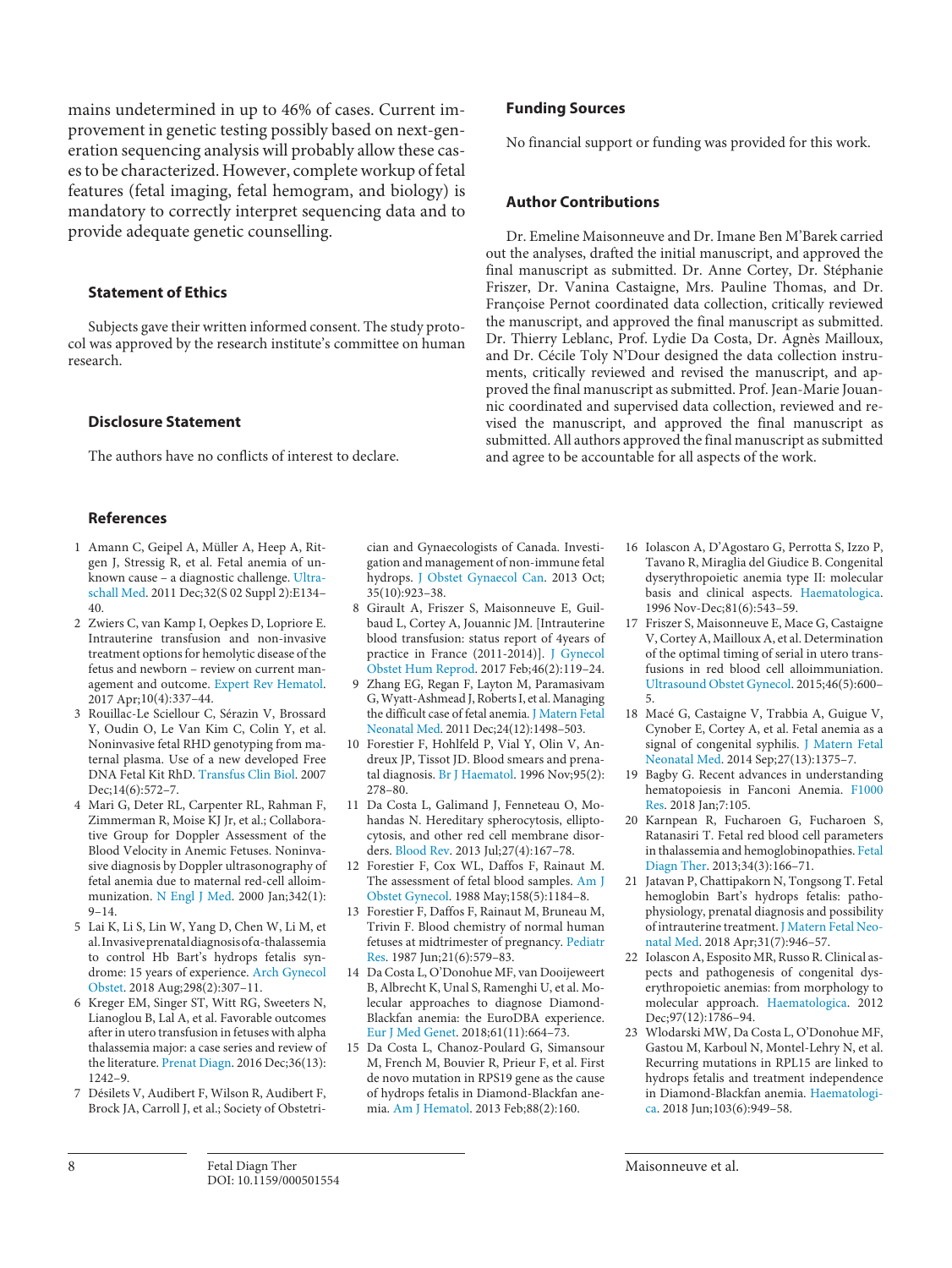mains undetermined in up to 46% of cases. Current improvement in genetic testing possibly based on next-generation sequencing analysis will probably allow these cases to be characterized. However, complete workup of fetal features (fetal imaging, fetal hemogram, and biology) is mandatory to correctly interpret sequencing data and to provide adequate genetic counselling.

#### **Statement of Ethics**

Subjects gave their written informed consent. The study protocol was approved by the research institute's committee on human research.

#### **Disclosure Statement**

The authors have no conflicts of interest to declare.

#### **References**

- 1 Amann C, Geipel A, Müller A, Heep A, Ritgen J, Stressig R, et al. Fetal anemia of unknown cause – a diagnostic challenge. Ultraschall Med. 2011 Dec;32(S 02 Suppl 2):E134– 40.
- 2 Zwiers C, van Kamp I, Oepkes D, Lopriore E. Intrauterine transfusion and non-invasive treatment options for hemolytic disease of the fetus and newborn – review on current management and outcome. Expert Rev Hematol. 2017 Apr;10(4):337–44.
- 3 Rouillac-Le Sciellour C, Sérazin V, Brossard Y, Oudin O, Le Van Kim C, Colin Y, et al. Noninvasive fetal RHD genotyping from maternal plasma. Use of a new developed Free DNA Fetal Kit RhD. Transfus Clin Biol. 2007 Dec;14(6):572-7.
- 4 Mari G, Deter RL, Carpenter RL, Rahman F, Zimmerman R, Moise KJ Jr, et al.; Collaborative Group for Doppler Assessment of the Blood Velocity in Anemic Fetuses. Noninvasive diagnosis by Doppler ultrasonography of fetal anemia due to maternal red-cell alloimmunization. N Engl J Med. 2000 Jan;342(1): 9–14.
- 5 Lai K, Li S, Lin W, Yang D, Chen W, Li M, et al. Invasive prenatal diagnosis of α-thalassemia to control Hb Bart's hydrops fetalis syndrome: 15 years of experience. Arch Gynecol Obstet. 2018 Aug;298(2):307–11.
- 6 Kreger EM, Singer ST, Witt RG, Sweeters N, Lianoglou B, Lal A, et al. Favorable outcomes after in utero transfusion in fetuses with alpha thalassemia major: a case series and review of the literature. Prenat Diagn. 2016 Dec;36(13):  $1242 - 9$
- 7 Désilets V, Audibert F, Wilson R, Audibert F, Brock JA, Carroll J, et al.; Society of Obstetri-

cian and Gynaecologists of Canada. Investigation and management of non-immune fetal hydrops. J Obstet Gynaecol Can. 2013 Oct;  $35(10):923-38.$ 

- 8 Girault A, Friszer S, Maisonneuve E, Guilbaud L, Cortey A, Jouannic JM. [Intrauterine blood transfusion: status report of 4years of practice in France (2011-2014)]. J Gynecol Obstet Hum Reprod. 2017 Feb;46(2):119–24.
- 9 Zhang EG, Regan F, Layton M, Paramasivam G, Wyatt-Ashmead J, Roberts I, et al. Managing the difficult case of fetal anemia. J Matern Fetal Neonatal Med. 2011 Dec;24(12):1498–503.
- 10 Forestier F, Hohlfeld P, Vial Y, Olin V, Andreux JP, Tissot JD. Blood smears and prenatal diagnosis. Br J Haematol. 1996 Nov;95(2): 278–80.
- 11 Da Costa L, Galimand J, Fenneteau O, Mohandas N. Hereditary spherocytosis, elliptocytosis, and other red cell membrane disorders. Blood Rev. 2013 Jul;27(4):167–78.
- 12 Forestier F, Cox WL, Daffos F, Rainaut M. The assessment of fetal blood samples. Am J Obstet Gynecol. 1988 May;158(5):1184–8.
- 13 Forestier F, Daffos F, Rainaut M, Bruneau M, Trivin F. Blood chemistry of normal human fetuses at midtrimester of pregnancy. Pediatr Res. 1987 Jun;21(6):579–83.
- 14 Da Costa L, O'Donohue MF, van Dooijeweert B, Albrecht K, Unal S, Ramenghi U, et al. Molecular approaches to diagnose Diamond-Blackfan anemia: the EuroDBA experience. Eur J Med Genet. 2018;61(11):664–73.
- 15 Da Costa L, Chanoz-Poulard G, Simansour M, French M, Bouvier R, Prieur F, et al. First de novo mutation in RPS19 gene as the cause of hydrops fetalis in Diamond-Blackfan anemia. Am J Hematol. 2013 Feb;88(2):160.

#### **Funding Sources**

No financial support or funding was provided for this work.

#### **Author Contributions**

Dr. Emeline Maisonneuve and Dr. Imane Ben M'Barek carried out the analyses, drafted the initial manuscript, and approved the final manuscript as submitted. Dr. Anne Cortey, Dr. Stéphanie Friszer, Dr. Vanina Castaigne, Mrs. Pauline Thomas, and Dr. Françoise Pernot coordinated data collection, critically reviewed the manuscript, and approved the final manuscript as submitted. Dr. Thierry Leblanc, Prof. Lydie Da Costa, Dr. Agnès Mailloux, and Dr. Cécile Toly N'Dour designed the data collection instruments, critically reviewed and revised the manuscript, and approved the final manuscript as submitted. Prof. Jean-Marie Jouannic coordinated and supervised data collection, reviewed and revised the manuscript, and approved the final manuscript as submitted. All authors approved the final manuscript as submitted and agree to be accountable for all aspects of the work.

- 16 Iolascon A, D'Agostaro G, Perrotta S, Izzo P, Tavano R, Miraglia del Giudice B. Congenital dyserythropoietic anemia type II: molecular basis and clinical aspects. Haematologica. 1996 Nov-Dec;81(6):543–59.
- 17 Friszer S, Maisonneuve E, Mace G, Castaigne V, Cortey A, Mailloux A, et al. Determination of the optimal timing of serial in utero transfusions in red blood cell alloimmuniation. Ultrasound Obstet Gynecol. 2015;46(5):600– 5.
- 18 Macé G, Castaigne V, Trabbia A, Guigue V, Cynober E, Cortey A, et al. Fetal anemia as a signal of congenital syphilis. J Matern Fetal Neonatal Med. 2014 Sep;27(13):1375–7.
- 19 Bagby G. Recent advances in understanding hematopoiesis in Fanconi Anemia. F1000 Res. 2018 Jan;7:105.
- 20 Karnpean R, Fucharoen G, Fucharoen S, Ratanasiri T. Fetal red blood cell parameters in thalassemia and hemoglobinopathies. Fetal Diagn Ther. 2013;34(3):166–71.
- 21 Jatavan P, Chattipakorn N, Tongsong T. Fetal hemoglobin Bart's hydrops fetalis: pathophysiology, prenatal diagnosis and possibility of intrauterine treatment. J Matern Fetal Neonatal Med. 2018 Apr;31(7):946–57.
- 22 Iolascon A, Esposito MR, Russo R. Clinical aspects and pathogenesis of congenital dyserythropoietic anemias: from morphology to molecular approach. Haematologica. 2012 Dec;97(12):1786–94.
- 23 Wlodarski MW, Da Costa L, O'Donohue MF, Gastou M, Karboul N, Montel-Lehry N, et al. Recurring mutations in RPL15 are linked to hydrops fetalis and treatment independence in Diamond-Blackfan anemia. Haematologica. 2018 Jun;103(6):949–58.